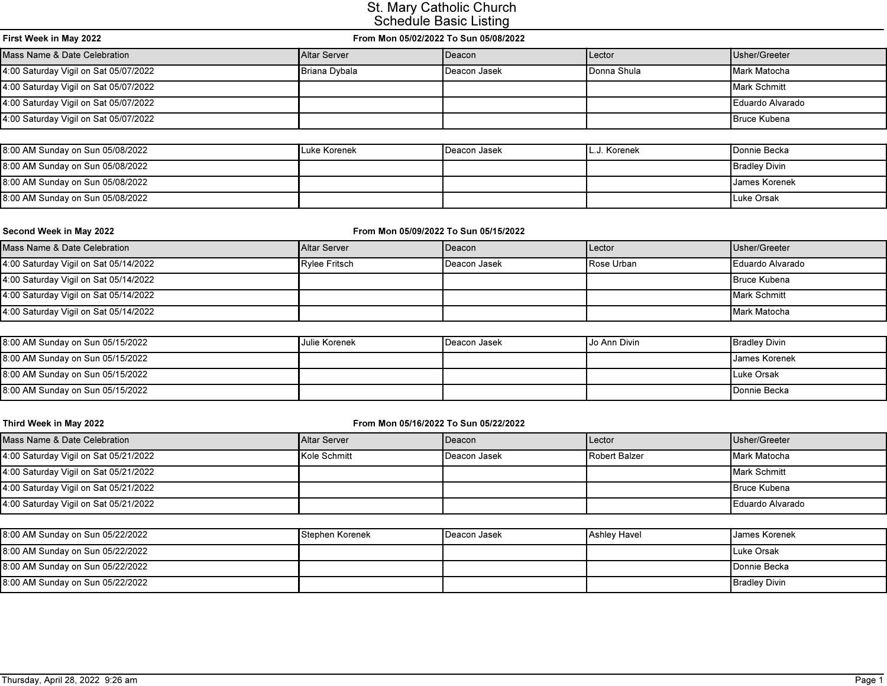| First Week in May 2022                | From Mon 05/02/2022 To Sun 05/08/2022 |                 |             |                     |
|---------------------------------------|---------------------------------------|-----------------|-------------|---------------------|
| Mass Name & Date Celebration          | <b>Altar Server</b>                   | <b>I</b> Deacon | Lector      | Usher/Greeter       |
| 4:00 Saturday Vigil on Sat 05/07/2022 | Briana Dybala                         | Deacon Jasek    | Donna Shula | Mark Matocha        |
| 4:00 Saturday Vigil on Sat 05/07/2022 |                                       |                 |             | Mark Schmitt        |
| 4:00 Saturday Vigil on Sat 05/07/2022 |                                       |                 |             | Eduardo Alvarado    |
| 4:00 Saturday Vigil on Sat 05/07/2022 |                                       |                 |             | <b>Bruce Kubena</b> |

| 8:00 AM Sunday on Sun 05/08/2022 | Luke Korenek | Deacon Jasek | L.J. Korenek | <b>I</b> Donnie Becka |
|----------------------------------|--------------|--------------|--------------|-----------------------|
| 8:00 AM Sunday on Sun 05/08/2022 |              |              |              | <b>Bradley Divin</b>  |
| 8:00 AM Sunday on Sun 05/08/2022 |              |              |              | <b>James Korenek</b>  |
| 8:00 AM Sunday on Sun 05/08/2022 |              |              |              | Luke Orsak            |

| Second Week in May 2022               | From Mon 05/09/2022 To Sun 05/15/2022 |                 |                          |                        |
|---------------------------------------|---------------------------------------|-----------------|--------------------------|------------------------|
| Mass Name & Date Celebration          | <b>IAltar Server</b>                  | <b>IDeacon</b>  | <b>I</b> Lector          | Usher/Greeter          |
| 4:00 Saturday Vigil on Sat 05/14/2022 | Rylee Fritsch                         | l Deacon Jasek  | Rose Urban               | Eduardo Alvarado       |
| 4:00 Saturday Vigil on Sat 05/14/2022 |                                       |                 |                          | <b>Bruce Kubena</b>    |
| 4:00 Saturday Vigil on Sat 05/14/2022 |                                       |                 |                          | Mark Schmitt           |
| 4:00 Saturday Vigil on Sat 05/14/2022 |                                       |                 |                          | Mark Matocha           |
|                                       |                                       |                 |                          |                        |
| $0.00.0010$ $0.0010$                  | the Black of Alberta Alberta          | المتمدا وجدحهما | <b>Le Alexa Division</b> | المتدني بالمصدر المصدر |

| 8:00 AM Sunday on Sun 05/15/2022 | <b>Julie Korenek</b> | Deacon Jasek | Uo Ann Divin | <b>Bradley Divin</b>   |
|----------------------------------|----------------------|--------------|--------------|------------------------|
| 8:00 AM Sunday on Sun 05/15/2022 |                      |              |              | <b>I</b> James Korenek |
| 8:00 AM Sunday on Sun 05/15/2022 |                      |              |              | <b>ILuke Orsak</b>     |
| 8:00 AM Sunday on Sun 05/15/2022 |                      |              |              | <b>I</b> Donnie Becka  |

| Third Week in May 2022                | From Mon 05/16/2022 To Sun 05/22/2022 |                 |               |                     |
|---------------------------------------|---------------------------------------|-----------------|---------------|---------------------|
| Mass Name & Date Celebration          | <b>Altar Server</b>                   | <b>I</b> Deacon | <b>Lector</b> | Usher/Greeter       |
| 4:00 Saturday Vigil on Sat 05/21/2022 | Kole Schmitt                          | l Deacon Jasek  | Robert Balzer | Mark Matocha        |
| 4:00 Saturday Vigil on Sat 05/21/2022 |                                       |                 |               | Mark Schmitt        |
| 4:00 Saturday Vigil on Sat 05/21/2022 |                                       |                 |               | <b>Bruce Kubena</b> |
| 4:00 Saturday Vigil on Sat 05/21/2022 |                                       |                 |               | Eduardo Alvarado    |
|                                       |                                       |                 |               |                     |

| 8:00 AM Sunday on Sun 05/22/2022 | Stephen Korenek | <b>I</b> Deacon Jasek | Ashley Havel | <b>I James Korenek</b> |
|----------------------------------|-----------------|-----------------------|--------------|------------------------|
| 8:00 AM Sunday on Sun 05/22/2022 |                 |                       |              | Luke Orsak             |
| 8:00 AM Sunday on Sun 05/22/2022 |                 |                       |              | <b>IDonnie Becka</b>   |
| 8:00 AM Sunday on Sun 05/22/2022 |                 |                       |              | <b>Bradley Divin</b>   |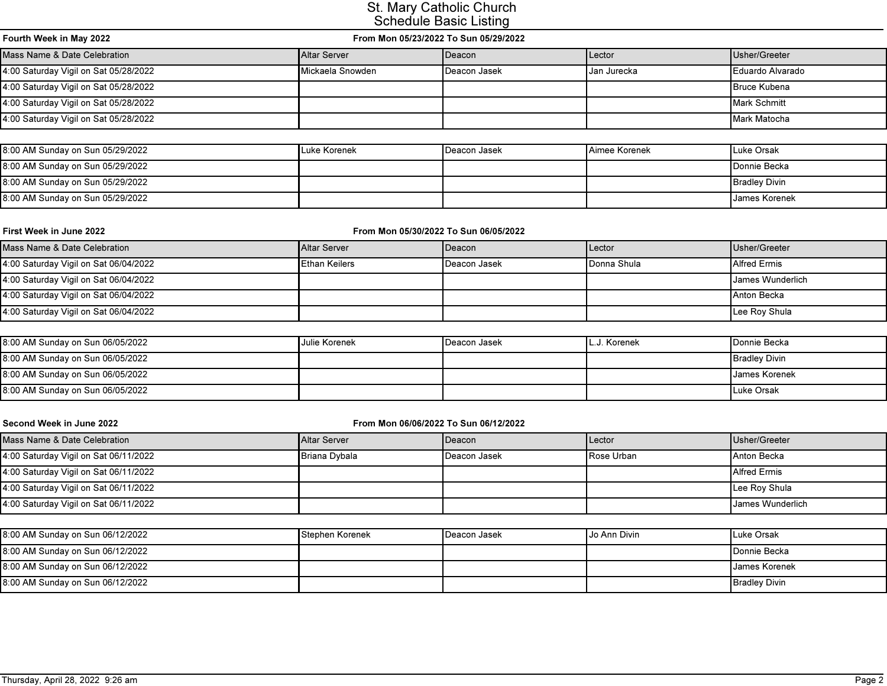| Fourth Week in May 2022                                            | From Mon 05/23/2022 To Sun 05/29/2022 |                 |               |                       |
|--------------------------------------------------------------------|---------------------------------------|-----------------|---------------|-----------------------|
| Mass Name & Date Celebration<br><b>Altar Server</b>                |                                       | <b>I</b> Deacon | Lector        | Usher/Greeter         |
| 4:00 Saturday Vigil on Sat 05/28/2022<br><b>I</b> Mickaela Snowden |                                       | l Deacon Jasek  | l Jan Jurecka | I Eduardo Alvarado    |
| 4:00 Saturday Vigil on Sat 05/28/2022                              |                                       |                 |               | <b>I</b> Bruce Kubena |
| 4:00 Saturday Vigil on Sat 05/28/2022                              |                                       |                 |               | Mark Schmitt          |
| 4:00 Saturday Vigil on Sat 05/28/2022                              |                                       |                 |               | Mark Matocha          |

| 8:00 AM Sunday on Sun 05/29/2022 | <b>ILuke Korenek</b> | l Deacon Jasek | <b>Aimee Korenek</b> | Luke Orsak            |
|----------------------------------|----------------------|----------------|----------------------|-----------------------|
| 8:00 AM Sunday on Sun 05/29/2022 |                      |                |                      | <b>I</b> Donnie Becka |
| 8:00 AM Sunday on Sun 05/29/2022 |                      |                |                      | <b>Bradley Divin</b>  |
| 8:00 AM Sunday on Sun 05/29/2022 |                      |                |                      | <b>James Korenek</b>  |

| First Week in June 2022               | From Mon 05/30/2022 To Sun 06/05/2022 |                |                     |                     |
|---------------------------------------|---------------------------------------|----------------|---------------------|---------------------|
| Mass Name & Date Celebration          | <b>Altar Server</b>                   | <b>IDeacon</b> | Lector              | Usher/Greeter       |
| 4:00 Saturday Vigil on Sat 06/04/2022 | <b>IEthan Keilers</b>                 | l Deacon Jasek | <b>IDonna Shula</b> | <b>Alfred Ermis</b> |
| 4:00 Saturday Vigil on Sat 06/04/2022 |                                       |                |                     | James Wunderlich    |
| 4:00 Saturday Vigil on Sat 06/04/2022 |                                       |                |                     | Anton Becka         |
| 4:00 Saturday Vigil on Sat 06/04/2022 |                                       |                |                     | Lee Roy Shula       |

| 8:00 AM Sunday on Sun 06/05/2022 | Julie Korenek | I Deacon Jasek | . Korenek | <b>I</b> Donnie Becka |
|----------------------------------|---------------|----------------|-----------|-----------------------|
| 8:00 AM Sunday on Sun 06/05/2022 |               |                |           | <b>Bradley Divin</b>  |
| 8:00 AM Sunday on Sun 06/05/2022 |               |                |           | I James Korenek       |
| 8:00 AM Sunday on Sun 06/05/2022 |               |                |           | Luke Orsak            |

| Second Week in June 2022              | From Mon 06/06/2022 To Sun 06/12/2022 |                 |                     |                     |
|---------------------------------------|---------------------------------------|-----------------|---------------------|---------------------|
| Mass Name & Date Celebration          | <b>Altar Server</b>                   | <b>I</b> Deacon | Lector              | Usher/Greeter       |
| 4:00 Saturday Vigil on Sat 06/11/2022 | Briana Dybala                         | l Deacon Jasek  | <b>I</b> Rose Urban | Anton Becka         |
| 4:00 Saturday Vigil on Sat 06/11/2022 |                                       |                 |                     | <b>Alfred Ermis</b> |
| 4:00 Saturday Vigil on Sat 06/11/2022 |                                       |                 |                     | Lee Roy Shula       |
| 4:00 Saturday Vigil on Sat 06/11/2022 |                                       |                 |                     | James Wunderlich    |
|                                       |                                       |                 |                     |                     |

| 8:00 AM Sunday on Sun 06/12/2022 | Stephen Korenek | <b>I</b> Deacon Jasek | Uo Ann Divin | Luke Orsak            |
|----------------------------------|-----------------|-----------------------|--------------|-----------------------|
| 8:00 AM Sunday on Sun 06/12/2022 |                 |                       |              | <b>I</b> Donnie Becka |
| 8:00 AM Sunday on Sun 06/12/2022 |                 |                       |              | <b>James Korenek</b>  |
| 8:00 AM Sunday on Sun 06/12/2022 |                 |                       |              | <b>Bradley Divin</b>  |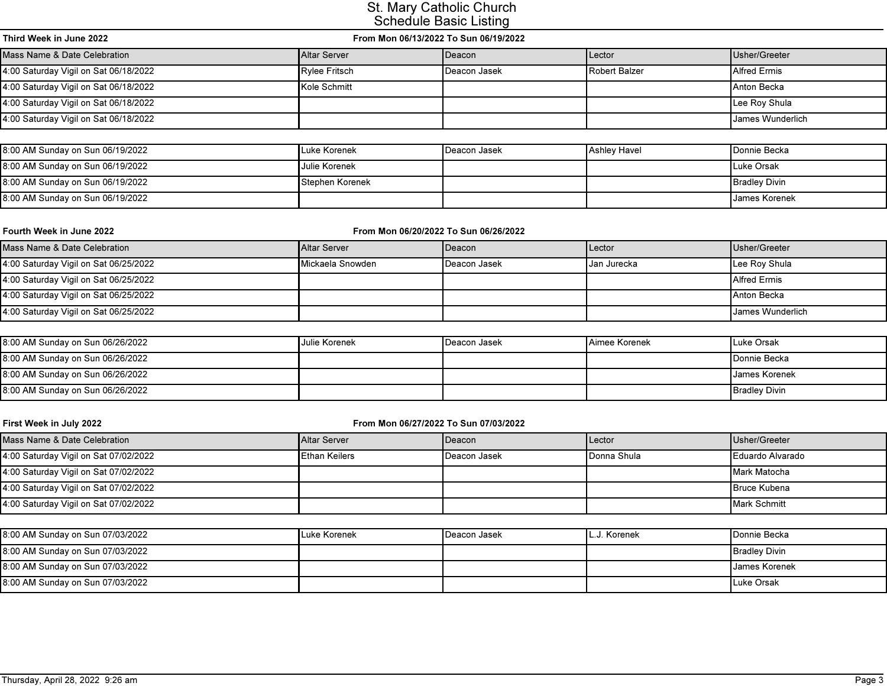| Third Week in June 2022               | From Mon 06/13/2022 To Sun 06/19/2022 |                 |                 |                     |
|---------------------------------------|---------------------------------------|-----------------|-----------------|---------------------|
| Mass Name & Date Celebration          | <b>Altar Server</b>                   | <b>I</b> Deacon | <b>I</b> Lector | Usher/Greeter       |
| 4:00 Saturday Vigil on Sat 06/18/2022 | Rylee Fritsch                         | l Deacon Jasek  | Robert Balzer   | <b>Alfred Ermis</b> |
| 4:00 Saturday Vigil on Sat 06/18/2022 | Kole Schmitt                          |                 |                 | Anton Becka         |
| 4:00 Saturday Vigil on Sat 06/18/2022 |                                       |                 |                 | Lee Roy Shula       |
| 4:00 Saturday Vigil on Sat 06/18/2022 |                                       |                 |                 | James Wunderlich    |

| 8:00 AM Sunday on Sun 06/19/2022 | <b>ILuke Korenek</b>   | l Deacon Jasek | Ashlev Havel | <b>I</b> Donnie Becka  |
|----------------------------------|------------------------|----------------|--------------|------------------------|
| 8:00 AM Sunday on Sun 06/19/2022 | <b>I</b> Julie Korenek |                |              | Luke Orsak             |
| 8:00 AM Sunday on Sun 06/19/2022 | Stephen Korenek        |                |              | <b>I</b> Bradlev Divin |
| 8:00 AM Sunday on Sun 06/19/2022 |                        |                |              | <b>I</b> James Korenek |

|  |  | Fourth Week in June 2022 |  |
|--|--|--------------------------|--|
|--|--|--------------------------|--|

#### From Mon 06/20/2022 To Sun 06/26/2022

| Mass Name & Date Celebration          | Altar Server              | l Deacon       | Lector             | Usher/Greeter           |
|---------------------------------------|---------------------------|----------------|--------------------|-------------------------|
| 4:00 Saturday Vigil on Sat 06/25/2022 | <b>I</b> Mickaela Snowden | l Deacon Jasek | <b>Jan Jurecka</b> | Lee Roy Shula           |
| 4:00 Saturday Vigil on Sat 06/25/2022 |                           |                |                    | <b>Alfred Ermis</b>     |
| 4:00 Saturday Vigil on Sat 06/25/2022 |                           |                |                    | Anton Becka             |
| 4:00 Saturday Vigil on Sat 06/25/2022 |                           |                |                    | <b>James Wunderlich</b> |

| 8:00 AM Sunday on Sun 06/26/2022 | <b>Julie Korenek</b> | l Deacon Jasek | <b>Aimee Korenek</b> | Luke Orsak            |
|----------------------------------|----------------------|----------------|----------------------|-----------------------|
| 8:00 AM Sunday on Sun 06/26/2022 |                      |                |                      | <b>I</b> Donnie Becka |
| 8:00 AM Sunday on Sun 06/26/2022 |                      |                |                      | <b>IJames Korenek</b> |
| 8:00 AM Sunday on Sun 06/26/2022 |                      |                |                      | <b>Bradley Divin</b>  |

| First Week in July 2022               | From Mon 06/27/2022 To Sun 07/03/2022 |                |                     |                     |  |
|---------------------------------------|---------------------------------------|----------------|---------------------|---------------------|--|
| Mass Name & Date Celebration          | Altar Server                          | <b>IDeacon</b> | <b>Lector</b>       | Usher/Greeter       |  |
| 4:00 Saturday Vigil on Sat 07/02/2022 | <b>IEthan Keilers</b>                 | l Deacon Jasek | <b>IDonna Shula</b> | I Eduardo Alvarado  |  |
| 4:00 Saturday Vigil on Sat 07/02/2022 |                                       |                |                     | Mark Matocha        |  |
| 4:00 Saturday Vigil on Sat 07/02/2022 |                                       |                |                     | <b>Bruce Kubena</b> |  |
| 4:00 Saturday Vigil on Sat 07/02/2022 |                                       |                |                     | <b>Mark Schmitt</b> |  |
|                                       |                                       |                |                     |                     |  |

| 8:00 AM Sunday on Sun 07/03/2022 | Luke Korenek | l Deacon Jasek | L.J. Korenek | <b>Donnie Becka</b>  |
|----------------------------------|--------------|----------------|--------------|----------------------|
| 8:00 AM Sunday on Sun 07/03/2022 |              |                |              | <b>Bradley Divin</b> |
| 8:00 AM Sunday on Sun 07/03/2022 |              |                |              | <b>James Korenek</b> |
| 8:00 AM Sunday on Sun 07/03/2022 |              |                |              | Luke Orsak           |